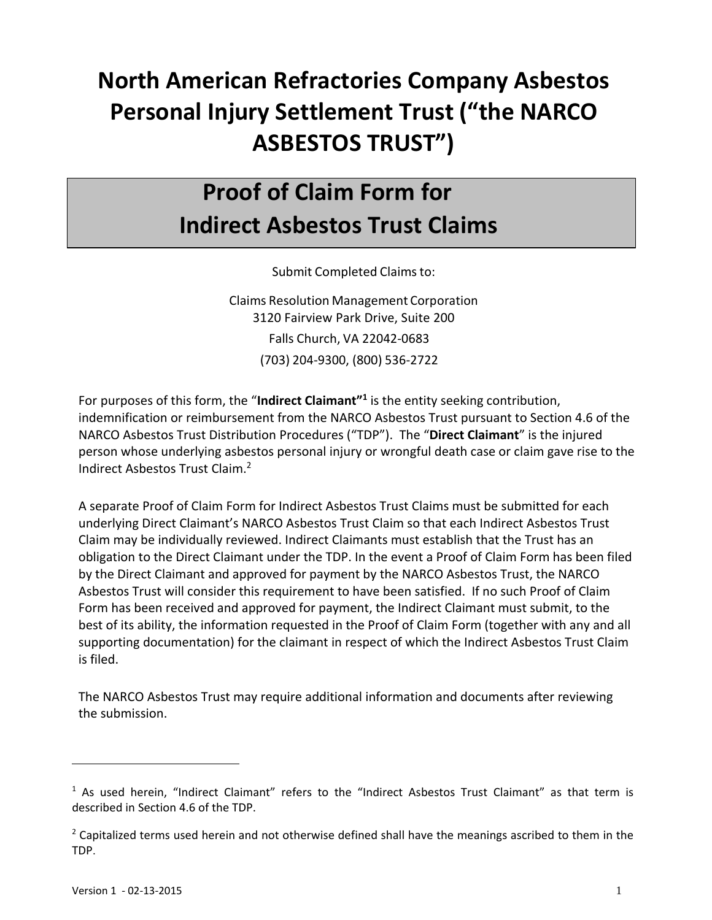# **North American Refractories Company Asbestos Personal Injury Settlement Trust ("the NARCO ASBESTOS TRUST")**

## **Proof of Claim Form for Indirect Asbestos Trust Claims**

Submit Completed Claims to:

Claims Resolution Management Corporation 3120 Fairview Park Drive, Suite 200 Falls Church, VA 22042‐0683 (703) 204‐9300, (800) 536‐2722

For purposes of this form, the "**Indirect Claimant"1** is the entity seeking contribution, indemnification or reimbursement from the NARCO Asbestos Trust pursuant to Section 4.6 of the NARCO Asbestos Trust Distribution Procedures ("TDP"). The "**Direct Claimant**" is the injured person whose underlying asbestos personal injury or wrongful death case or claim gave rise to the Indirect Asbestos Trust Claim.2

A separate Proof of Claim Form for Indirect Asbestos Trust Claims must be submitted for each underlying Direct Claimant's NARCO Asbestos Trust Claim so that each Indirect Asbestos Trust Claim may be individually reviewed. Indirect Claimants must establish that the Trust has an obligation to the Direct Claimant under the TDP. In the event a Proof of Claim Form has been filed by the Direct Claimant and approved for payment by the NARCO Asbestos Trust, the NARCO Asbestos Trust will consider this requirement to have been satisfied. If no such Proof of Claim Form has been received and approved for payment, the Indirect Claimant must submit, to the best of its ability, the information requested in the Proof of Claim Form (together with any and all supporting documentation) for the claimant in respect of which the Indirect Asbestos Trust Claim is filed.

The NARCO Asbestos Trust may require additional information and documents after reviewing the submission.

 $1$  As used herein, "Indirect Claimant" refers to the "Indirect Asbestos Trust Claimant" as that term is described in Section 4.6 of the TDP.

<sup>&</sup>lt;sup>2</sup> Capitalized terms used herein and not otherwise defined shall have the meanings ascribed to them in the TDP.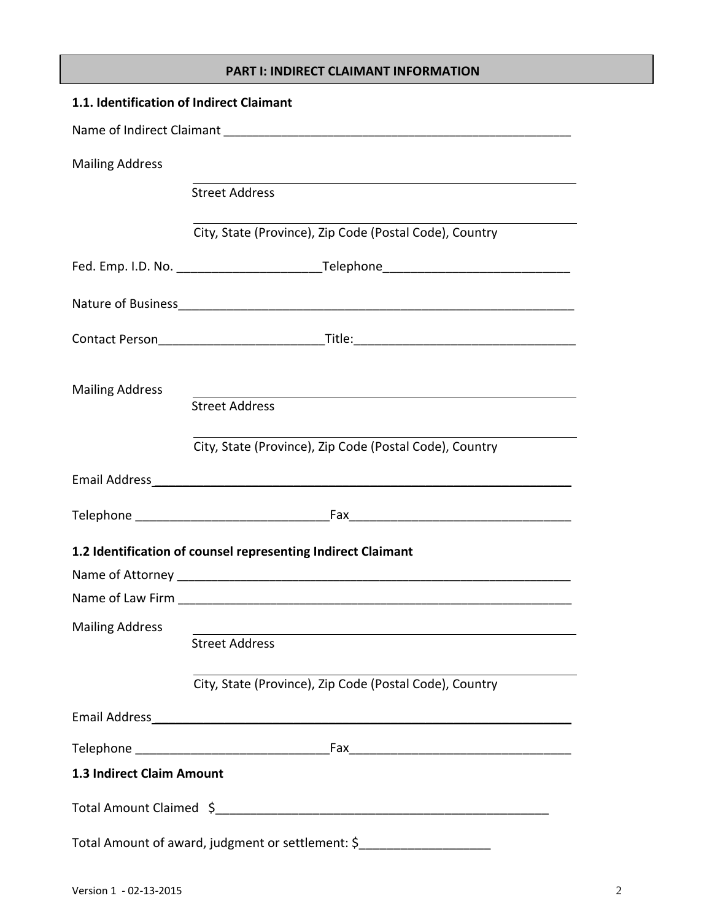#### **PART I: INDIRECT CLAIMANT INFORMATION**

| 1.1. Identification of Indirect Claimant                                   |                                                                                   |  |  |  |  |
|----------------------------------------------------------------------------|-----------------------------------------------------------------------------------|--|--|--|--|
|                                                                            |                                                                                   |  |  |  |  |
| <b>Mailing Address</b>                                                     |                                                                                   |  |  |  |  |
|                                                                            | <b>Street Address</b>                                                             |  |  |  |  |
|                                                                            | City, State (Province), Zip Code (Postal Code), Country                           |  |  |  |  |
|                                                                            | Fed. Emp. I.D. No. _______________________________Telephone______________________ |  |  |  |  |
|                                                                            |                                                                                   |  |  |  |  |
|                                                                            |                                                                                   |  |  |  |  |
| <b>Mailing Address</b>                                                     | <b>Street Address</b>                                                             |  |  |  |  |
|                                                                            | City, State (Province), Zip Code (Postal Code), Country                           |  |  |  |  |
|                                                                            |                                                                                   |  |  |  |  |
|                                                                            |                                                                                   |  |  |  |  |
|                                                                            | 1.2 Identification of counsel representing Indirect Claimant                      |  |  |  |  |
|                                                                            |                                                                                   |  |  |  |  |
|                                                                            |                                                                                   |  |  |  |  |
| <b>Mailing Address</b>                                                     |                                                                                   |  |  |  |  |
|                                                                            | <b>Street Address</b>                                                             |  |  |  |  |
|                                                                            | City, State (Province), Zip Code (Postal Code), Country                           |  |  |  |  |
|                                                                            |                                                                                   |  |  |  |  |
|                                                                            |                                                                                   |  |  |  |  |
| 1.3 Indirect Claim Amount                                                  |                                                                                   |  |  |  |  |
|                                                                            |                                                                                   |  |  |  |  |
| Total Amount of award, judgment or settlement: \$ ________________________ |                                                                                   |  |  |  |  |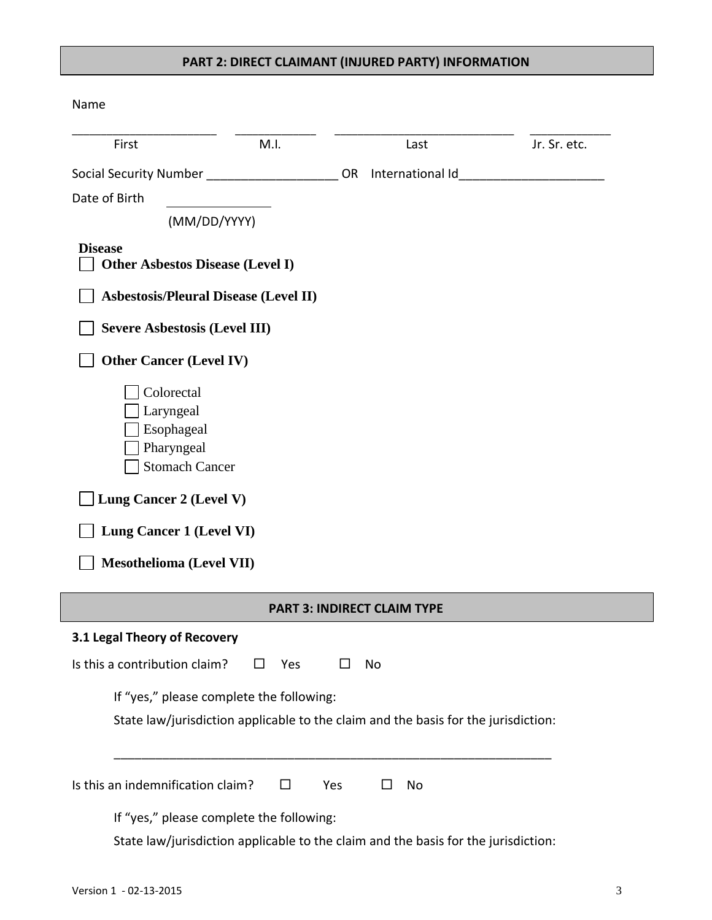### **PART 2: DIRECT CLAIMANT (INJURED PARTY) INFORMATION**

Name

| First                                                                                                                                                                         | M.I.                                         | Last                                                                               | Jr. Sr. etc. |
|-------------------------------------------------------------------------------------------------------------------------------------------------------------------------------|----------------------------------------------|------------------------------------------------------------------------------------|--------------|
| Social Security Number ______________________________OR                                                                                                                       |                                              |                                                                                    |              |
| Date of Birth                                                                                                                                                                 |                                              |                                                                                    |              |
|                                                                                                                                                                               | (MM/DD/YYYY)                                 |                                                                                    |              |
| <b>Disease</b>                                                                                                                                                                | <b>Other Asbestos Disease (Level I)</b>      |                                                                                    |              |
|                                                                                                                                                                               | <b>Asbestosis/Pleural Disease (Level II)</b> |                                                                                    |              |
| <b>Severe Asbestosis (Level III)</b>                                                                                                                                          |                                              |                                                                                    |              |
| <b>Other Cancer (Level IV)</b>                                                                                                                                                |                                              |                                                                                    |              |
| Colorectal<br>Laryngeal<br>Esophageal<br>Pharyngeal<br><b>Stomach Cancer</b><br>Lung Cancer 2 (Level V)<br><b>Lung Cancer 1 (Level VI)</b><br><b>Mesothelioma (Level VII)</b> |                                              |                                                                                    |              |
|                                                                                                                                                                               |                                              | <b>PART 3: INDIRECT CLAIM TYPE</b>                                                 |              |
| 3.1 Legal Theory of Recovery                                                                                                                                                  |                                              |                                                                                    |              |
| Is this a contribution claim?                                                                                                                                                 | Yes                                          | No                                                                                 |              |
|                                                                                                                                                                               | If "yes," please complete the following:     |                                                                                    |              |
|                                                                                                                                                                               |                                              | State law/jurisdiction applicable to the claim and the basis for the jurisdiction: |              |
| Is this an indemnification claim?                                                                                                                                             | $\Box$                                       | □<br>No<br>Yes                                                                     |              |
|                                                                                                                                                                               | If "yes," please complete the following:     |                                                                                    |              |
|                                                                                                                                                                               |                                              | State law/jurisdiction applicable to the claim and the basis for the jurisdiction: |              |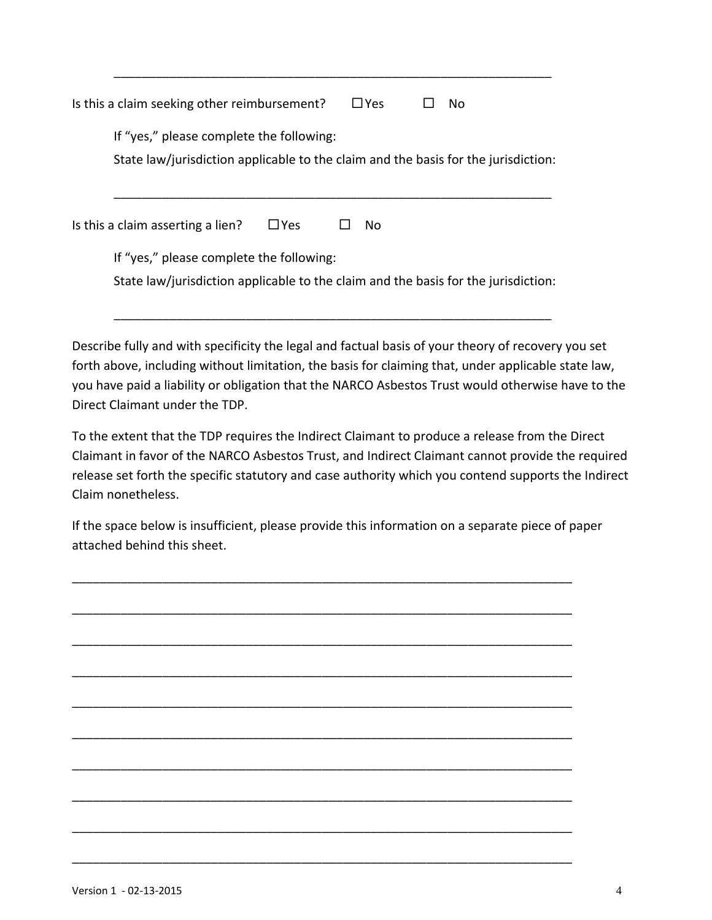| Is this a claim seeking other reimbursement?<br>$\Box$ Yes<br>No.                                                              |  |  |  |  |  |                                          |  |    |  |                                                                                    |  |
|--------------------------------------------------------------------------------------------------------------------------------|--|--|--|--|--|------------------------------------------|--|----|--|------------------------------------------------------------------------------------|--|
|                                                                                                                                |  |  |  |  |  | If "yes," please complete the following: |  |    |  | State law/jurisdiction applicable to the claim and the basis for the jurisdiction: |  |
| Is this a claim asserting a lien?                                                                                              |  |  |  |  |  | $\Box$ Yes                               |  | No |  |                                                                                    |  |
| If "yes," please complete the following:<br>State law/jurisdiction applicable to the claim and the basis for the jurisdiction: |  |  |  |  |  |                                          |  |    |  |                                                                                    |  |

\_\_\_\_\_\_\_\_\_\_\_\_\_\_\_\_\_\_\_\_\_\_\_\_\_\_\_\_\_\_\_\_\_\_\_\_\_\_\_\_\_\_\_\_\_\_\_\_\_\_\_\_\_\_\_\_\_\_\_\_\_\_\_

Describe fully and with specificity the legal and factual basis of your theory of recovery you set forth above, including without limitation, the basis for claiming that, under applicable state law, you have paid a liability or obligation that the NARCO Asbestos Trust would otherwise have to the Direct Claimant under the TDP.

To the extent that the TDP requires the Indirect Claimant to produce a release from the Direct Claimant in favor of the NARCO Asbestos Trust, and Indirect Claimant cannot provide the required release set forth the specific statutory and case authority which you contend supports the Indirect Claim nonetheless.

If the space below is insufficient, please provide this information on a separate piece of paper attached behind this sheet.

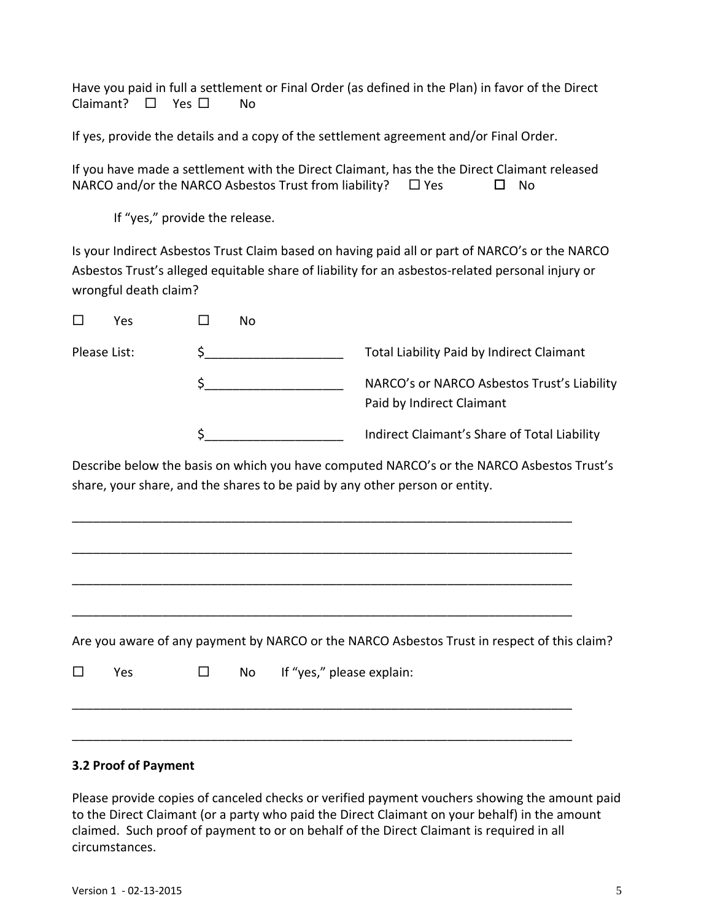Have you paid in full a settlement or Final Order (as defined in the Plan) in favor of the Direct  $Claimant? \Box Yes \Box No$ 

If yes, provide the details and a copy of the settlement agreement and/or Final Order.

If you have made a settlement with the Direct Claimant, has the the Direct Claimant released NARCO and/or the NARCO Asbestos Trust from liability?  $\Box$  Yes  $\Box$  No

If "yes," provide the release.

Is your Indirect Asbestos Trust Claim based on having paid all or part of NARCO's or the NARCO Asbestos Trust's alleged equitable share of liability for an asbestos‐related personal injury or wrongful death claim?

| Yes          | No |                                                                          |
|--------------|----|--------------------------------------------------------------------------|
| Please List: |    | Total Liability Paid by Indirect Claimant                                |
|              |    | NARCO's or NARCO Asbestos Trust's Liability<br>Paid by Indirect Claimant |
|              |    | Indirect Claimant's Share of Total Liability                             |

Describe below the basis on which you have computed NARCO's or the NARCO Asbestos Trust's share, your share, and the shares to be paid by any other person or entity.

\_\_\_\_\_\_\_\_\_\_\_\_\_\_\_\_\_\_\_\_\_\_\_\_\_\_\_\_\_\_\_\_\_\_\_\_\_\_\_\_\_\_\_\_\_\_\_\_\_\_\_\_\_\_\_\_\_\_\_\_\_\_\_\_\_\_\_\_\_\_\_\_

\_\_\_\_\_\_\_\_\_\_\_\_\_\_\_\_\_\_\_\_\_\_\_\_\_\_\_\_\_\_\_\_\_\_\_\_\_\_\_\_\_\_\_\_\_\_\_\_\_\_\_\_\_\_\_\_\_\_\_\_\_\_\_\_\_\_\_\_\_\_\_\_

\_\_\_\_\_\_\_\_\_\_\_\_\_\_\_\_\_\_\_\_\_\_\_\_\_\_\_\_\_\_\_\_\_\_\_\_\_\_\_\_\_\_\_\_\_\_\_\_\_\_\_\_\_\_\_\_\_\_\_\_\_\_\_\_\_\_\_\_\_\_\_\_

\_\_\_\_\_\_\_\_\_\_\_\_\_\_\_\_\_\_\_\_\_\_\_\_\_\_\_\_\_\_\_\_\_\_\_\_\_\_\_\_\_\_\_\_\_\_\_\_\_\_\_\_\_\_\_\_\_\_\_\_\_\_\_\_\_\_\_\_\_\_\_\_

\_\_\_\_\_\_\_\_\_\_\_\_\_\_\_\_\_\_\_\_\_\_\_\_\_\_\_\_\_\_\_\_\_\_\_\_\_\_\_\_\_\_\_\_\_\_\_\_\_\_\_\_\_\_\_\_\_\_\_\_\_\_\_\_\_\_\_\_\_\_\_\_

\_\_\_\_\_\_\_\_\_\_\_\_\_\_\_\_\_\_\_\_\_\_\_\_\_\_\_\_\_\_\_\_\_\_\_\_\_\_\_\_\_\_\_\_\_\_\_\_\_\_\_\_\_\_\_\_\_\_\_\_\_\_\_\_\_\_\_\_\_\_\_\_

Are you aware of any payment by NARCO or the NARCO Asbestos Trust in respect of this claim?

 $\square$  Yes  $\square$  No If "yes," please explain:

#### **3.2 Proof of Payment**

Please provide copies of canceled checks or verified payment vouchers showing the amount paid to the Direct Claimant (or a party who paid the Direct Claimant on your behalf) in the amount claimed. Such proof of payment to or on behalf of the Direct Claimant is required in all circumstances.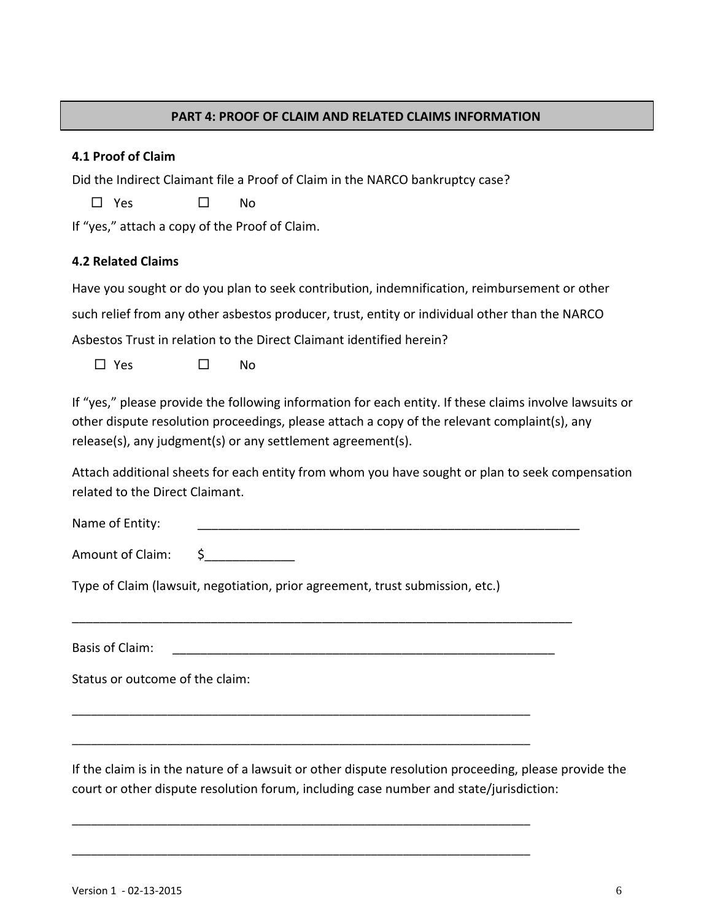#### **PART 4: PROOF OF CLAIM AND RELATED CLAIMS INFORMATION**

#### **4.1 Proof of Claim**

Did the Indirect Claimant file a Proof of Claim in the NARCO bankruptcy case?

 $\Box$  Yes  $\Box$  No.

If "yes," attach a copy of the Proof of Claim.

### **4.2 Related Claims**

Have you sought or do you plan to seek contribution, indemnification, reimbursement or other such relief from any other asbestos producer, trust, entity or individual other than the NARCO Asbestos Trust in relation to the Direct Claimant identified herein?

 $\square$  Yes  $\square$  No

If "yes," please provide the following information for each entity. If these claims involve lawsuits or other dispute resolution proceedings, please attach a copy of the relevant complaint(s), any release(s), any judgment(s) or any settlement agreement(s).

Attach additional sheets for each entity from whom you have sought or plan to seek compensation related to the Direct Claimant.

Name of Entity:

Amount of Claim:  $\frac{1}{2}$ 

Type of Claim (lawsuit, negotiation, prior agreement, trust submission, etc.)

\_\_\_\_\_\_\_\_\_\_\_\_\_\_\_\_\_\_\_\_\_\_\_\_\_\_\_\_\_\_\_\_\_\_\_\_\_\_\_\_\_\_\_\_\_\_\_\_\_\_\_\_\_\_\_\_\_\_\_\_\_\_\_\_\_\_\_\_\_\_\_\_

Basis of Claim:

\_\_\_\_\_\_\_\_\_\_\_\_\_\_\_\_\_\_\_\_\_\_\_\_\_\_\_\_\_\_\_\_\_\_\_\_\_\_\_\_\_\_\_\_\_\_\_\_\_\_\_\_\_\_\_\_\_\_\_\_\_\_\_\_\_\_\_\_\_\_\_\_

\_\_\_\_\_\_\_\_\_\_\_\_\_\_\_\_\_\_\_\_\_\_\_\_\_\_\_\_\_\_\_\_\_\_\_\_\_\_\_\_\_\_\_\_\_\_\_\_\_\_\_\_\_\_\_\_\_\_\_\_\_\_\_\_\_\_\_\_\_\_\_\_

\_\_\_\_\_\_\_\_\_\_\_\_\_\_\_\_\_\_\_\_\_\_\_\_\_\_\_\_\_\_\_\_\_\_\_\_\_\_\_\_\_\_\_\_\_\_\_\_\_\_\_\_\_\_\_\_\_\_\_\_\_\_\_\_\_\_\_\_\_\_\_\_

\_\_\_\_\_\_\_\_\_\_\_\_\_\_\_\_\_\_\_\_\_\_\_\_\_\_\_\_\_\_\_\_\_\_\_\_\_\_\_\_\_\_\_\_\_\_\_\_\_\_\_\_\_\_\_\_\_\_\_\_\_\_\_\_\_\_\_\_\_\_\_\_

Status or outcome of the claim:

If the claim is in the nature of a lawsuit or other dispute resolution proceeding, please provide the court or other dispute resolution forum, including case number and state/jurisdiction: